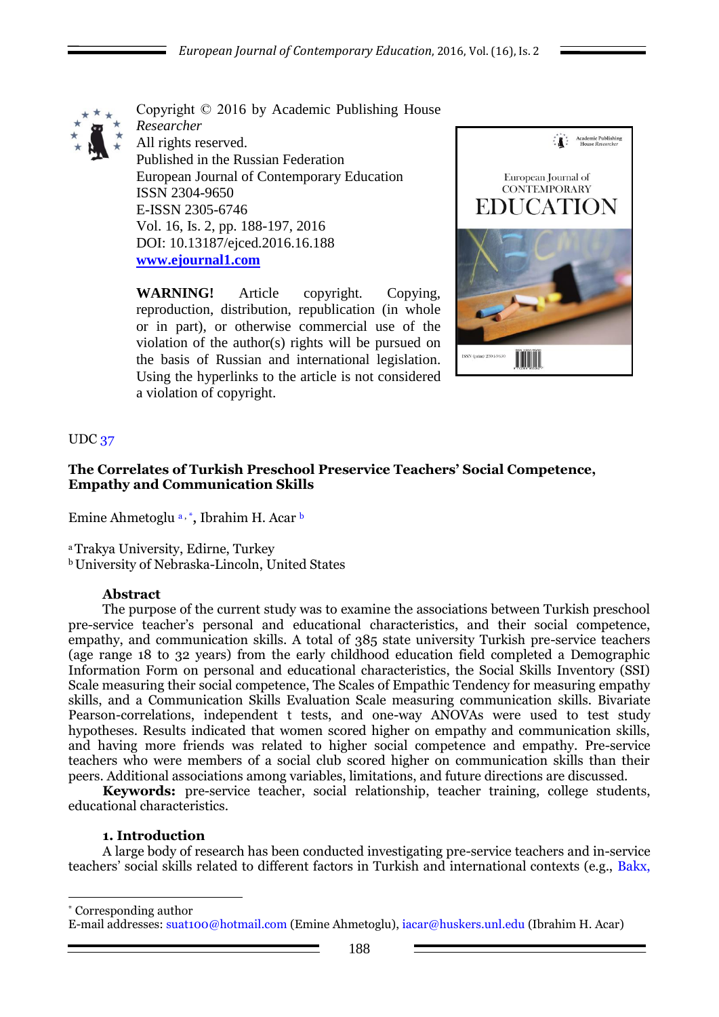

Copyright © 2016 by Academic Publishing House *Researcher* All rights reserved. Published in the Russian Federation European Journal of Contemporary Education ISSN 2304-9650 E-ISSN 2305-6746 Vol. 16, Is. 2, pp. 188-197, 2016 DOI: 10.13187/ejced.2016.16.188 **[www.ejournal1.com](http://www.ejournal1.com/)**

**WARNING!** Article copyright. Copying, reproduction, distribution, republication (in whole or in part), or otherwise commercial use of the violation of the author(s) rights will be pursued on the basis of Russian and international legislation. Using the hyperlinks to the article is not considered a violation of copyright.



## UDC 37

## **The Correlates of Turkish Preschool Preservice Teachers' Social Competence, Empathy and Communication Skills**

Emine Ahmetoglu<sup>a,\*</sup>, Ibrahim H. Acar<sup>b</sup>

<sup>a</sup>Trakya University, Edirne, Turkey

<sup>b</sup>University of Nebraska-Lincoln, United States

## **Abstract**

The purpose of the current study was to examine the associations between Turkish preschool pre-service teacher's personal and educational characteristics, and their social competence, empathy, and communication skills. A total of 385 state university Turkish pre-service teachers (age range 18 to 32 years) from the early childhood education field completed a Demographic Information Form on personal and educational characteristics, the Social Skills Inventory (SSI) Scale measuring their social competence, The Scales of Empathic Tendency for measuring empathy skills, and a Communication Skills Evaluation Scale measuring communication skills. Bivariate Pearson-correlations, independent t tests, and one-way ANOVAs were used to test study hypotheses. Results indicated that women scored higher on empathy and communication skills, and having more friends was related to higher social competence and empathy. Pre-service teachers who were members of a social club scored higher on communication skills than their peers. Additional associations among variables, limitations, and future directions are discussed.

**Keywords:** pre-service teacher, social relationship, teacher training, college students, educational characteristics.

## **1. Introduction**

1

A large body of research has been conducted investigating pre-service teachers and in-service teachers' social skills related to different factors in Turkish and international contexts (e.g., Bakx,

\* Corresponding author E-mail addresses: suat100@hotmail.com (Emine Ahmetoglu), iacar@huskers.unl.edu (Ibrahim H. Acar)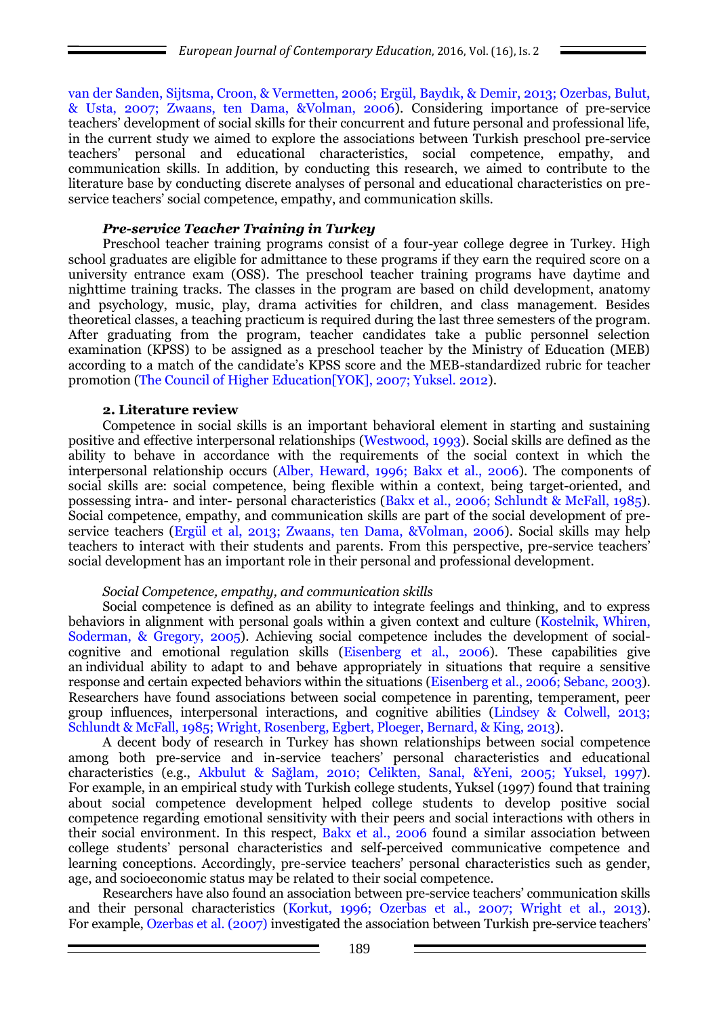van der Sanden, Sijtsma, Croon, & Vermetten, 2006; Ergül, Baydık, & Demir, 2013; Ozerbas, Bulut, & Usta, 2007; Zwaans, ten Dama, &Volman, 2006). Considering importance of pre-service teachers' development of social skills for their concurrent and future personal and professional life, in the current study we aimed to explore the associations between Turkish preschool pre-service teachers' personal and educational characteristics, social competence, empathy, and communication skills. In addition, by conducting this research, we aimed to contribute to the literature base by conducting discrete analyses of personal and educational characteristics on preservice teachers' social competence, empathy, and communication skills.

## *Pre-service Teacher Training in Turkey*

Preschool teacher training programs consist of a four-year college degree in Turkey. High school graduates are eligible for admittance to these programs if they earn the required score on a university entrance exam (OSS). The preschool teacher training programs have daytime and nighttime training tracks. The classes in the program are based on child development, anatomy and psychology, music, play, drama activities for children, and class management. Besides theoretical classes, a teaching practicum is required during the last three semesters of the program. After graduating from the program, teacher candidates take a public personnel selection examination (KPSS) to be assigned as a preschool teacher by the Ministry of Education (MEB) according to a match of the candidate's KPSS score and the MEB-standardized rubric for teacher promotion (The Council of Higher Education[YOK], 2007; Yuksel. 2012).

### **2. Literature review**

Competence in social skills is an important behavioral element in starting and sustaining positive and effective interpersonal relationships (Westwood, 1993). Social skills are defined as the ability to behave in accordance with the requirements of the social context in which the interpersonal relationship occurs (Alber, Heward, 1996; Bakx et al., 2006). The components of social skills are: social competence, being flexible within a context, being target-oriented, and possessing intra- and inter- personal characteristics (Bakx et al., 2006; Schlundt & McFall, 1985). Social competence, empathy, and communication skills are part of the social development of preservice teachers (Ergül et al, 2013; Zwaans, ten Dama, &Volman, 2006). Social skills may help teachers to interact with their students and parents. From this perspective, pre-service teachers' social development has an important role in their personal and professional development.

## *Social Competence, empathy, and communication skills*

Social competence is defined as an ability to integrate feelings and thinking, and to express behaviors in alignment with personal goals within a given context and culture (Kostelnik, Whiren, Soderman, & Gregory, 2005). Achieving social competence includes the development of socialcognitive and emotional regulation skills (Eisenberg et al., 2006). These capabilities give an individual ability to adapt to and behave appropriately in situations that require a sensitive response and certain expected behaviors within the situations (Eisenberg et al., 2006; Sebanc, 2003). Researchers have found associations between social competence in parenting, temperament, peer group influences, interpersonal interactions, and cognitive abilities (Lindsey & Colwell, 2013; Schlundt & McFall, 1985; Wright, Rosenberg, Egbert, Ploeger, Bernard, & King, 2013).

A decent body of research in Turkey has shown relationships between social competence among both pre-service and in-service teachers' personal characteristics and educational characteristics (e.g., Akbulut & Sağlam, 2010; Celikten, Sanal, &Yeni, 2005; Yuksel, 1997). For example, in an empirical study with Turkish college students, Yuksel (1997) found that training about social competence development helped college students to develop positive social competence regarding emotional sensitivity with their peers and social interactions with others in their social environment. In this respect, Bakx et al., 2006 found a similar association between college students' personal characteristics and self-perceived communicative competence and learning conceptions. Accordingly, pre-service teachers' personal characteristics such as gender, age, and socioeconomic status may be related to their social competence.

Researchers have also found an association between pre-service teachers' communication skills and their personal characteristics (Korkut, 1996; Ozerbas et al., 2007; Wright et al., 2013). For example, Ozerbas et al. (2007) investigated the association between Turkish pre-service teachers'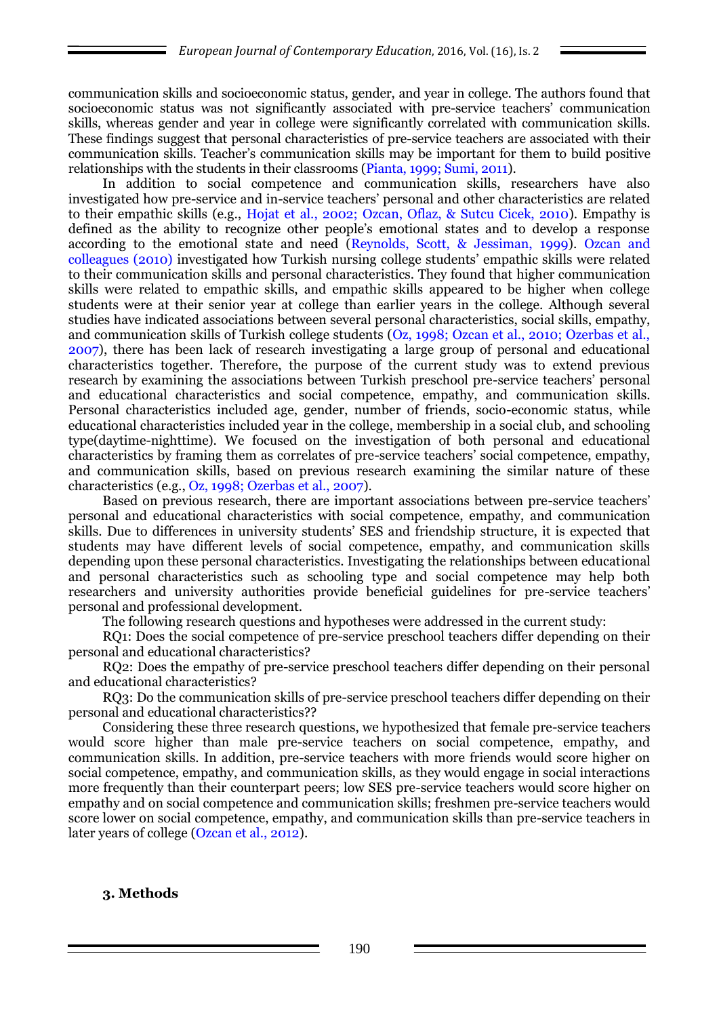communication skills and socioeconomic status, gender, and year in college. The authors found that socioeconomic status was not significantly associated with pre-service teachers' communication skills, whereas gender and year in college were significantly correlated with communication skills. These findings suggest that personal characteristics of pre-service teachers are associated with their communication skills. Teacher's communication skills may be important for them to build positive relationships with the students in their classrooms (Pianta, 1999; Sumi, 2011).

In addition to social competence and communication skills, researchers have also investigated how pre-service and in-service teachers' personal and other characteristics are related to their empathic skills (e.g., Hojat et al., 2002; Ozcan, Oflaz, & Sutcu Cicek, 2010). Empathy is defined as the ability to recognize other people's emotional states and to develop a response according to the emotional state and need (Reynolds, Scott, & Jessiman, 1999). Ozcan and colleagues (2010) investigated how Turkish nursing college students' empathic skills were related to their communication skills and personal characteristics. They found that higher communication skills were related to empathic skills, and empathic skills appeared to be higher when college students were at their senior year at college than earlier years in the college. Although several studies have indicated associations between several personal characteristics, social skills, empathy, and communication skills of Turkish college students (Oz, 1998; Ozcan et al., 2010; Ozerbas et al., 2007), there has been lack of research investigating a large group of personal and educational characteristics together. Therefore, the purpose of the current study was to extend previous research by examining the associations between Turkish preschool pre-service teachers' personal and educational characteristics and social competence, empathy, and communication skills. Personal characteristics included age, gender, number of friends, socio-economic status, while educational characteristics included year in the college, membership in a social club, and schooling type(daytime-nighttime). We focused on the investigation of both personal and educational characteristics by framing them as correlates of pre-service teachers' social competence, empathy, and communication skills, based on previous research examining the similar nature of these characteristics (e.g., Oz, 1998; Ozerbas et al., 2007).

Based on previous research, there are important associations between pre-service teachers' personal and educational characteristics with social competence, empathy, and communication skills. Due to differences in university students' SES and friendship structure, it is expected that students may have different levels of social competence, empathy, and communication skills depending upon these personal characteristics. Investigating the relationships between educational and personal characteristics such as schooling type and social competence may help both researchers and university authorities provide beneficial guidelines for pre-service teachers' personal and professional development.

The following research questions and hypotheses were addressed in the current study:

RQ1: Does the social competence of pre-service preschool teachers differ depending on their personal and educational characteristics?

RQ2: Does the empathy of pre-service preschool teachers differ depending on their personal and educational characteristics?

RQ3: Do the communication skills of pre-service preschool teachers differ depending on their personal and educational characteristics??

Considering these three research questions, we hypothesized that female pre-service teachers would score higher than male pre-service teachers on social competence, empathy, and communication skills. In addition, pre-service teachers with more friends would score higher on social competence, empathy, and communication skills, as they would engage in social interactions more frequently than their counterpart peers; low SES pre-service teachers would score higher on empathy and on social competence and communication skills; freshmen pre-service teachers would score lower on social competence, empathy, and communication skills than pre-service teachers in later years of college (Ozcan et al., 2012).

## **3. Methods**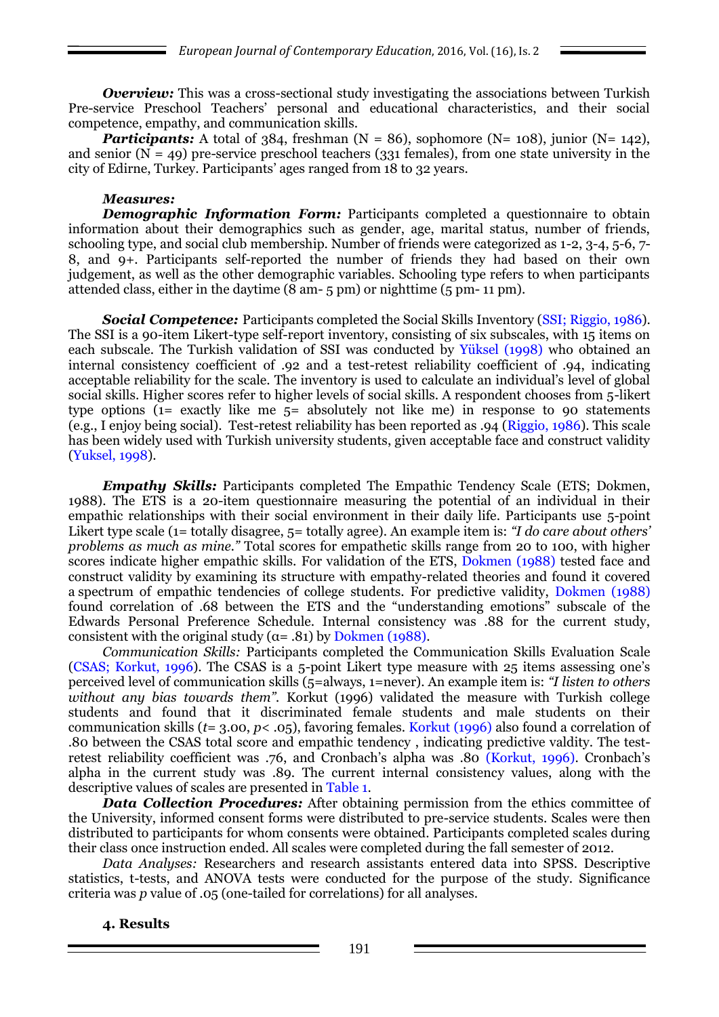*Overview:* This was a cross-sectional study investigating the associations between Turkish Pre-service Preschool Teachers' personal and educational characteristics, and their social competence, empathy, and communication skills.

**Participants:** A total of 384, freshman  $(N = 86)$ , sophomore  $(N = 108)$ , junior  $(N = 142)$ , and senior  $(N = 49)$  pre-service preschool teachers (331 females), from one state university in the city of Edirne, Turkey. Participants' ages ranged from 18 to 32 years.

### *Measures:*

*Demographic Information Form:* Participants completed a questionnaire to obtain information about their demographics such as gender, age, marital status, number of friends, schooling type, and social club membership. Number of friends were categorized as 1-2, 3-4, 5-6, 7- 8, and 9+. Participants self-reported the number of friends they had based on their own judgement, as well as the other demographic variables. Schooling type refers to when participants attended class, either in the daytime (8 am- 5 pm) or nighttime (5 pm- 11 pm).

**Social Competence:** Participants completed the Social Skills Inventory (SSI; Riggio, 1986). The SSI is a 90-item Likert-type self-report inventory, consisting of six subscales, with 15 items on each subscale. The Turkish validation of SSI was conducted by Yüksel (1998) who obtained an internal consistency coefficient of .92 and a test-retest reliability coefficient of .94, indicating acceptable reliability for the scale. The inventory is used to calculate an individual's level of global social skills. Higher scores refer to higher levels of social skills. A respondent chooses from 5-likert type options (1= exactly like me 5= absolutely not like me) in response to 90 statements (e.g., I enjoy being social). Test-retest reliability has been reported as .94 (Riggio, 1986). This scale has been widely used with Turkish university students, given acceptable face and construct validity (Yuksel, 1998).

*Empathy Skills:* Participants completed The Empathic Tendency Scale (ETS; Dokmen, 1988). The ETS is a 20-item questionnaire measuring the potential of an individual in their empathic relationships with their social environment in their daily life. Participants use 5-point Likert type scale (1= totally disagree, 5= totally agree). An example item is: *"I do care about others' problems as much as mine."* Total scores for empathetic skills range from 20 to 100, with higher scores indicate higher empathic skills. For validation of the ETS, Dokmen (1988) tested face and construct validity by examining its structure with empathy-related theories and found it covered a spectrum of empathic tendencies of college students. For predictive validity, Dokmen (1988) found correlation of .68 between the ETS and the "understanding emotions" subscale of the Edwards Personal Preference Schedule. Internal consistency was .88 for the current study, consistent with the original study ( $\alpha$ = .81) by Dokmen (1988).

*Communication Skills:* Participants completed the Communication Skills Evaluation Scale (CSAS; Korkut, 1996). The CSAS is a 5-point Likert type measure with 25 items assessing one's perceived level of communication skills (5=always, 1=never). An example item is: *"I listen to others*  without any bias towards them". Korkut (1996) validated the measure with Turkish college students and found that it discriminated female students and male students on their communication skills (*t*= 3.00, *p*< .05), favoring females. Korkut (1996) also found a correlation of .80 between the CSAS total score and empathic tendency , indicating predictive valdity. The testretest reliability coefficient was .76, and Cronbach's alpha was .80 (Korkut, 1996). Cronbach's alpha in the current study was .89. The current internal consistency values, along with the descriptive values of scales are presented in Table 1.

*Data Collection Procedures:* After obtaining permission from the ethics committee of the University, informed consent forms were distributed to pre-service students. Scales were then distributed to participants for whom consents were obtained. Participants completed scales during their class once instruction ended. All scales were completed during the fall semester of 2012.

*Data Analyses:* Researchers and research assistants entered data into SPSS. Descriptive statistics, t-tests, and ANOVA tests were conducted for the purpose of the study. Significance criteria was *p* value of .05 (one-tailed for correlations) for all analyses.

## **4. Results**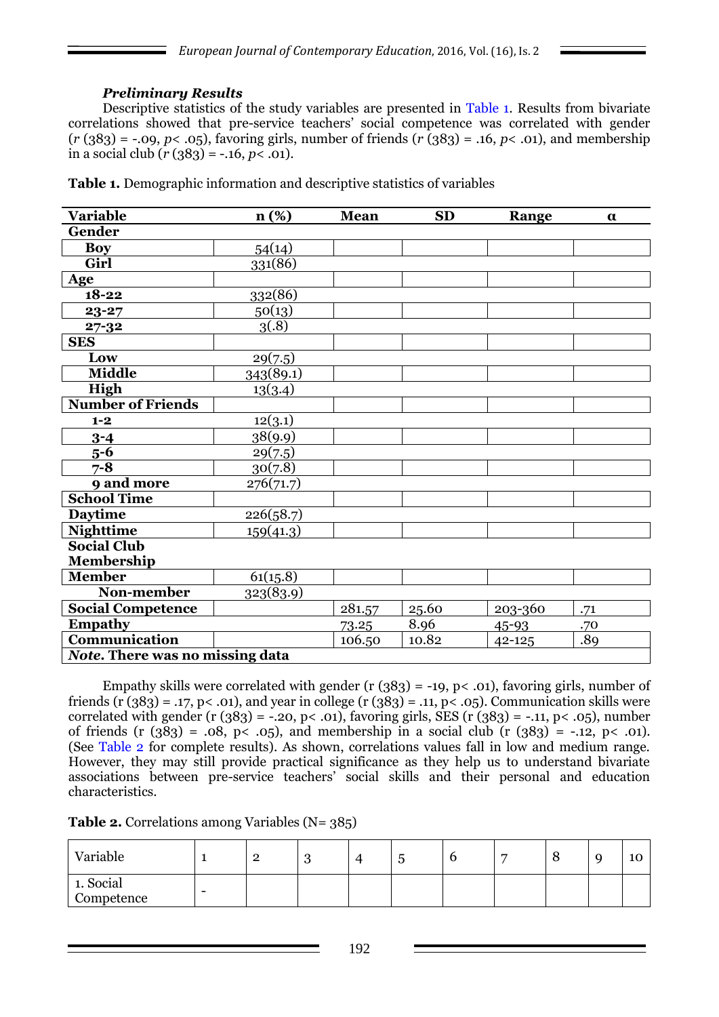# *Preliminary Results*

Descriptive statistics of the study variables are presented in Table 1. Results from bivariate correlations showed that pre-service teachers' social competence was correlated with gender  $(r (383) = -.09, p < .05)$ , favoring girls, number of friends  $(r (383) = .16, p < .01)$ , and membership in a social club  $(r (383) = -.16, p < .01)$ .

| <b>Variable</b>                        | n (%)        | <b>Mean</b> | <b>SD</b> | Range      | $\alpha$ |
|----------------------------------------|--------------|-------------|-----------|------------|----------|
| Gender                                 |              |             |           |            |          |
| <b>Boy</b>                             | 54(14)       |             |           |            |          |
| Girl                                   | $33^{1(86)}$ |             |           |            |          |
| Age                                    |              |             |           |            |          |
| $18 - 22$                              | 332(86)      |             |           |            |          |
| 23-27                                  | 50(13)       |             |           |            |          |
| $27 - 32$                              | 3(.8)        |             |           |            |          |
| <b>SES</b>                             |              |             |           |            |          |
| Low                                    | 29(7.5)      |             |           |            |          |
| <b>Middle</b>                          | 343(89.1)    |             |           |            |          |
| High                                   | 13(3.4)      |             |           |            |          |
| <b>Number of Friends</b>               |              |             |           |            |          |
| $1 - 2$                                | 12(3.1)      |             |           |            |          |
| $3 - 4$                                | 38(9.9)      |             |           |            |          |
| $5-6$                                  | 29(7.5)      |             |           |            |          |
| $7 - 8$                                | 30(7.8)      |             |           |            |          |
| 9 and more                             | 276(71.7)    |             |           |            |          |
| <b>School Time</b>                     |              |             |           |            |          |
| <b>Daytime</b>                         | 226(58.7)    |             |           |            |          |
| <b>Nighttime</b>                       | 159(41.3)    |             |           |            |          |
| <b>Social Club</b>                     |              |             |           |            |          |
| Membership                             |              |             |           |            |          |
| <b>Member</b>                          | 61(15.8)     |             |           |            |          |
| Non-member                             | 323(83.9)    |             |           |            |          |
| <b>Social Competence</b>               |              | 281.57      | 25.60     | 203-360    | .71      |
| <b>Empathy</b>                         |              | 73.25       | 8.96      | 45-93      | .70      |
| Communication                          |              | 106.50      | 10.82     | $42 - 125$ | .89      |
| <b>Note.</b> There was no missing data |              |             |           |            |          |

**Table 1.** Demographic information and descriptive statistics of variables

Empathy skills were correlated with gender (r  $(383) = -19$ , p< .01), favoring girls, number of friends (r  $(383) = .17$ , p < .01), and year in college (r  $(383) = .11$ , p < .05). Communication skills were correlated with gender (r  $(383) = -0.20$ , p< .01), favoring girls, SES (r  $(383) = -0.11$ , p< .05), number of friends (r  $(383) = .08$ , p< .05), and membership in a social club (r  $(383) = -.12$ , p< .01). (See Table 2 for complete results). As shown, correlations values fall in low and medium range. However, they may still provide practical significance as they help us to understand bivariate associations between pre-service teachers' social skills and their personal and education characteristics.

**Table 2.** Correlations among Variables (N= 385)

| Variable                |   | റ<br>∠ | c<br>◡ | ັ | − | O | 10<br>τÓ |
|-------------------------|---|--------|--------|---|---|---|----------|
| 1. Social<br>Competence | - |        |        |   |   |   |          |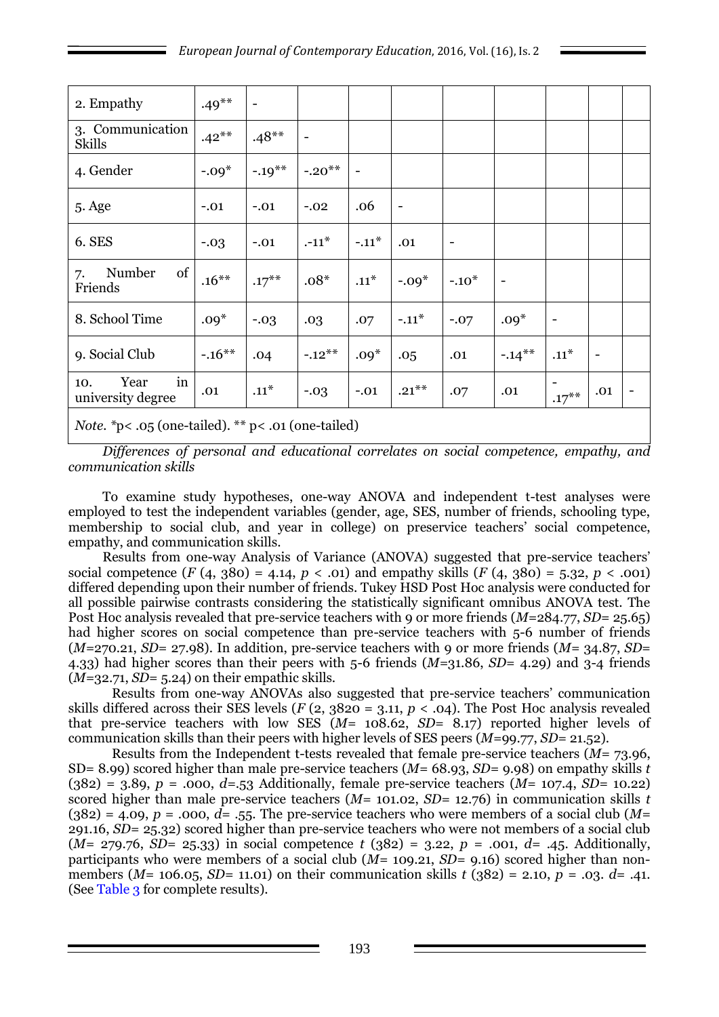| 2. Empathy                                                    | $.49***$  | $\qquad \qquad -$ |                          |                          |                          |         |                   |          |     |  |
|---------------------------------------------------------------|-----------|-------------------|--------------------------|--------------------------|--------------------------|---------|-------------------|----------|-----|--|
| 3. Communication<br><b>Skills</b>                             | $.42***$  | $.48**$           | $\overline{\phantom{a}}$ |                          |                          |         |                   |          |     |  |
| 4. Gender                                                     | $-.09*$   | $-.19***$         | $-.20**$                 | $\overline{\phantom{0}}$ |                          |         |                   |          |     |  |
| 5. Age                                                        | $-.01$    | $-.01$            | $-.02$                   | .06                      | $\overline{\phantom{a}}$ |         |                   |          |     |  |
| 6. SES                                                        | $-.03$    | $-.01$            | $-11^*$                  | $-.11*$                  | .01                      | ۰       |                   |          |     |  |
| of<br>Number<br>7.<br>Friends                                 | $.16***$  | $.17***$          | $.08*$                   | $.11^*$                  | $-.09*$                  | $-.10*$ | $\qquad \qquad -$ |          |     |  |
| 8. School Time                                                | $.09*$    | $-.03$            | .03                      | .07                      | $-.11*$                  | $-.07$  | $.09*$            | -        |     |  |
| 9. Social Club                                                | $-.16***$ | .04               | $-.12***$                | $.09*$                   | .05                      | .01     | $-.14***$         | $.11*$   |     |  |
| Year<br>in<br>10.<br>university degree                        | .01       | $.11^*$           | $-.03$                   | $-.01$                   | $.21***$                 | .07     | .01               | $.17***$ | .01 |  |
| <i>Note.</i> *p< $.05$ (one-tailed). ** p< $.01$ (one-tailed) |           |                   |                          |                          |                          |         |                   |          |     |  |

*Differences of personal and educational correlates on social competence, empathy, and communication skills*

To examine study hypotheses, one-way ANOVA and independent t-test analyses were employed to test the independent variables (gender, age, SES, number of friends, schooling type, membership to social club, and year in college) on preservice teachers' social competence, empathy, and communication skills.

Results from one-way Analysis of Variance (ANOVA) suggested that pre-service teachers' social competence  $(F(4, 380) = 4.14, p \lt 0.01)$  and empathy skills  $(F(4, 380) = 5.32, p \lt 0.001)$ differed depending upon their number of friends. Tukey HSD Post Hoc analysis were conducted for all possible pairwise contrasts considering the statistically significant omnibus ANOVA test. The Post Hoc analysis revealed that pre-service teachers with 9 or more friends (*M=*284.77, *SD*= 25.65) had higher scores on social competence than pre-service teachers with 5-6 number of friends (*M=*270.21, *SD*= 27.98). In addition, pre-service teachers with 9 or more friends (*M=* 34.87, *SD*= 4.33) had higher scores than their peers with 5-6 friends (*M=*31.86, *SD*= 4.29) and 3-4 friends (*M=*32.71, *SD*= 5.24) on their empathic skills.

Results from one-way ANOVAs also suggested that pre-service teachers' communication skills differed across their SES levels ( $F(2, 3820 = 3.11, p < .04$ ). The Post Hoc analysis revealed that pre-service teachers with low SES (*M=* 108.62, *SD*= 8.17) reported higher levels of communication skills than their peers with higher levels of SES peers (*M=*99.77, *SD*= 21.52).

Results from the Independent t-tests revealed that female pre-service teachers (*M=* 73.96, SD= 8.99) scored higher than male pre-service teachers (*M=* 68.93, *SD=* 9.98) on empathy skills *t* (382) = 3.89, *p* = .000, *d=*.53 Additionally, female pre-service teachers (*M=* 107.4, *SD=* 10.22) scored higher than male pre-service teachers (*M=* 101.02, *SD=* 12.76) in communication skills *t*  $(382) = 4.09$ ,  $p = .000$ ,  $d = .55$ . The pre-service teachers who were members of a social club (*M*= 291.16, *SD=* 25.32) scored higher than pre-service teachers who were not members of a social club  $(M = 279.76, SD = 25.33)$  in social competence *t* (382) = 3.22, *p* = .001, *d*= .45. Additionally, participants who were members of a social club (*M=* 109.21, *SD=* 9.16) scored higher than nonmembers (*M=* 106.05, *SD=* 11.01) on their communication skills *t* (382) = 2.10, *p* = .03. *d*= .41. (See Table 3 for complete results).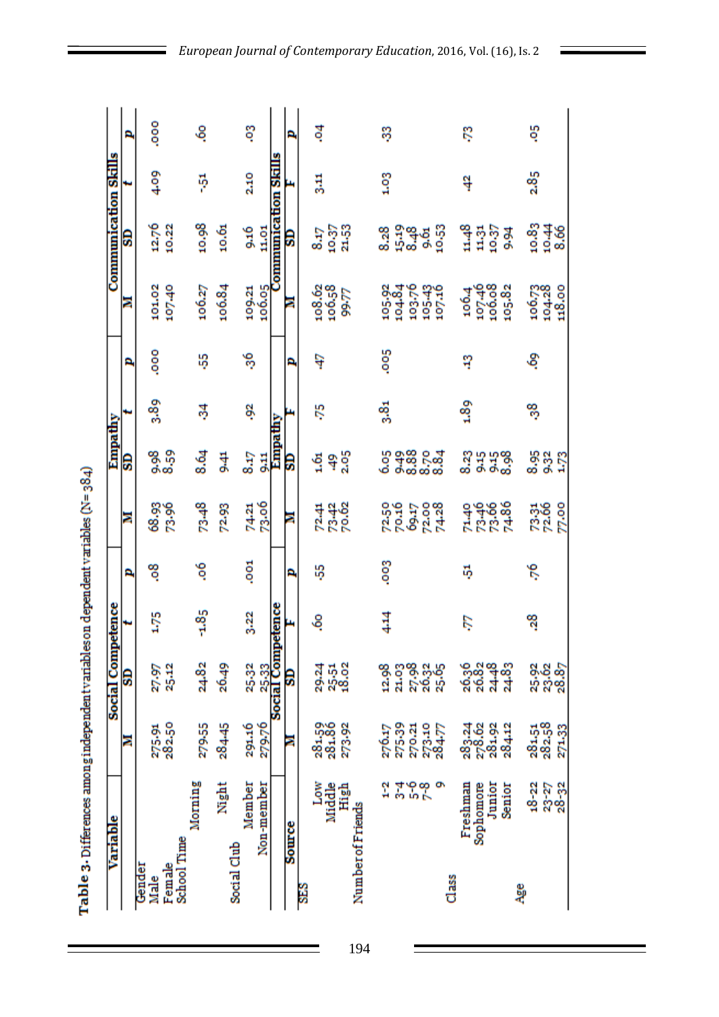| I<br>l |
|--------|
|        |
| į      |
|        |
| í      |
|        |
|        |
| I      |
|        |
|        |
|        |
|        |
|        |
|        |
|        |
|        |
|        |
|        |
| I      |
|        |
| I      |
|        |
|        |
|        |
|        |
| l      |
| I      |
| Í      |
|        |
| l      |
| l      |
| E      |

| Variable              |                |                            | <b>Social Competence</b>   |         |            |                                 | Empathy                          |         |      |                                                           | <b>Communication Skills</b>                     |                  |      |
|-----------------------|----------------|----------------------------|----------------------------|---------|------------|---------------------------------|----------------------------------|---------|------|-----------------------------------------------------------|-------------------------------------------------|------------------|------|
|                       |                | ā                          | S                          |         | A,         | E                               | e                                |         | P,   | Ξ                                                         | e                                               |                  | P,   |
| Gender<br>Male        |                | 275.91<br>282.50           | 27.97                      | 1.75    | ಇ          | 68.93<br>73.96                  | 8.59<br>8.59                     | 3.89    | ooo. | 101.02                                                    | 12.76                                           | 4.09             | ooo. |
| School Time<br>Female |                |                            | 25.12                      |         |            |                                 |                                  |         |      | 107.40                                                    | 10,22                                           |                  |      |
| Morning               |                | 279-55                     | 24.82                      | $-1.85$ | °          | $73-48$                         | 8.64                             | శ్ల     | ь5   | 106.27                                                    | 10.98                                           | ş                | હ઼   |
| Social Club           | Night          | 284.45                     | 26.49                      |         |            | 72.93                           | $rac{4}{3}$                      |         |      | 106.84                                                    | 10.61                                           |                  |      |
| Member                |                | 291.16                     | 25.32                      | 3.22    | <b>COO</b> | 74.21                           | 8.17                             | ş,      | 56   | 109.21                                                    | 9.16                                            | 2.10             | ឌូ   |
| Non-member            |                | 279.76                     |                            |         |            | 73.06                           | $\frac{11}{2}$                   |         |      | 106.05                                                    | 11.01                                           |                  |      |
|                       |                |                            | 25.33<br>Social Competence |         |            |                                 | Empathy                          |         |      |                                                           | Communication Skills                            |                  |      |
| <b>Source</b>         |                | ē                          | e                          |         | P.         | ā                               | e                                |         | P,   | ē                                                         | e                                               |                  | £.   |
| š                     | Low            |                            |                            | ઙ       | ų,         |                                 | $\frac{61}{2}$                   | ŕ,      | ą    |                                                           | 8.17                                            | 틦                | इ    |
| Middle                |                | 281.59<br>281.86           | ನ ಧ್ವ<br>ನಿ ನಿ ಇ           |         |            | 72.41<br>73.42<br>70.62         |                                  |         |      | $\begin{array}{c} 108.62 \\ 106.58 \\ 99.77 \end{array}$  |                                                 |                  |      |
|                       | High           | 273-92                     |                            |         |            |                                 | 49                               |         |      |                                                           | 10.37<br>21.53                                  |                  |      |
| Number of Friends     |                |                            |                            |         |            |                                 |                                  |         |      |                                                           |                                                 |                  |      |
|                       | 2              |                            |                            | 414     | <b>Soo</b> |                                 |                                  | 3.81    | Soo. |                                                           |                                                 | 1.03             | Ş    |
|                       |                | 276.17<br>275.39           |                            |         |            | 7250<br>70.16<br>69.17          |                                  |         |      | 105.92<br>104.84                                          |                                                 |                  |      |
|                       |                |                            |                            |         |            |                                 |                                  |         |      |                                                           |                                                 |                  |      |
|                       | یا ۵۳۵<br>مرد  | 270.21<br>273.10<br>284.77 | 8 88 3.4<br>1 1 5 8 3      |         |            | 72.00<br>74.28                  | ဝ မှုဆို ၄ အို<br>၁ မှုဆို ၄ ဆို |         |      | 103.76<br>105.43<br>107.16                                | ಇ ಕ್ಲಿ ಹೆಚ್ಚಿ<br>ಇ ಕ್ಲಿ ಹೆಚ್ಚಿ<br>ಇ ಕ್ಲಿ ಹೆಚ್ಚಿ |                  |      |
| $_{class}$            |                |                            |                            |         |            |                                 |                                  |         |      |                                                           |                                                 |                  |      |
| Freshman              |                |                            |                            | ĽĠ.     | Ę,         |                                 | 8.23                             | $^{89}$ | ឡ    | 106.4                                                     |                                                 | ą                | Ŗ    |
| Sophomore             | Junior         | 283.24<br>278.62<br>281.92 | ್ಲಿ ಜಿ ಇ ಜಿ<br>ಇ ಇ ನ ನ     |         |            |                                 | <b>H</b> H B B                   |         |      | 107.46<br>100.08                                          | $1437$<br>$1437$                                |                  |      |
|                       | Senior         | 284.12                     |                            |         |            | ಕ್ಷಿ ಕೆಳಿ<br>ಕೆ ಭಾರತ<br>ಕೆ ಭಾರತ |                                  |         |      | 105.82                                                    | 9.94                                            |                  |      |
| Ąge                   |                |                            |                            |         |            |                                 |                                  |         |      |                                                           |                                                 |                  |      |
|                       | $18 - 22$      | 281.51<br>282.58           | 8.85<br>5.88               | 38      | Ŗ.         | 73.36<br>72.00<br>77.00         | 88853                            | ್ಯ      | ફ    | $\begin{array}{c} 106.73 \\ 104.28 \\ 118.00 \end{array}$ | 10.83<br>10.44<br>10.66                         | 2.8 <sub>5</sub> | Ş    |
|                       | 23-27<br>28-22 | 271.33                     |                            |         |            |                                 |                                  |         |      |                                                           |                                                 |                  |      |

Ξ

194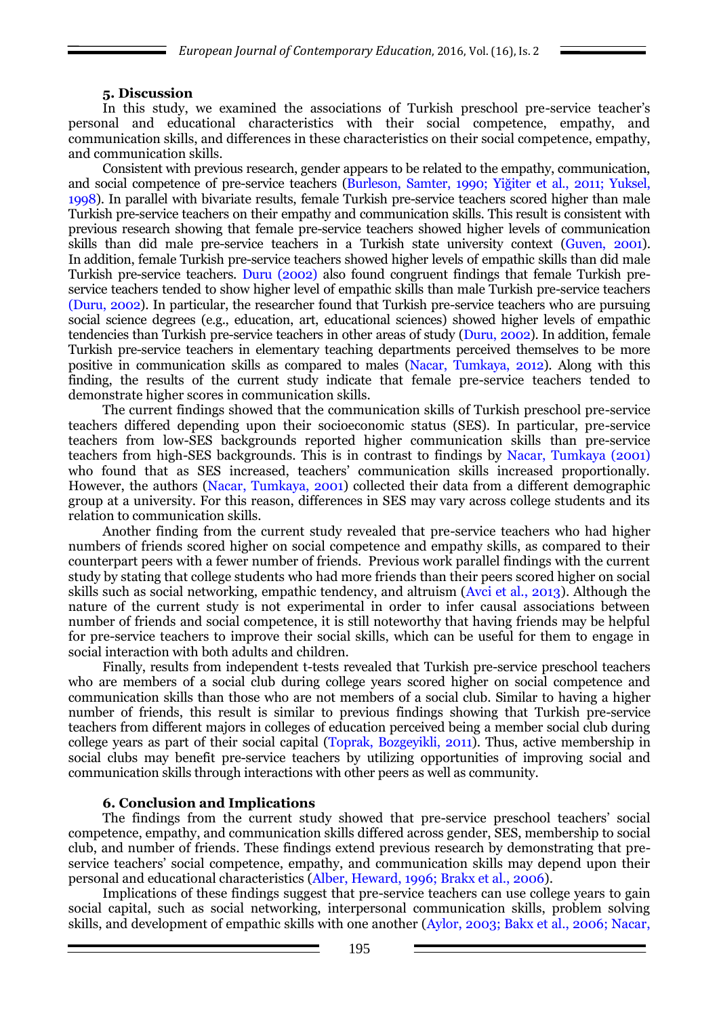### **5. Discussion**

In this study, we examined the associations of Turkish preschool pre-service teacher's personal and educational characteristics with their social competence, empathy, and communication skills, and differences in these characteristics on their social competence, empathy, and communication skills.

Consistent with previous research, gender appears to be related to the empathy, communication, and social competence of pre-service teachers (Burleson, Samter, 1990; Yiğiter et al., 2011; Yuksel, 1998). In parallel with bivariate results, female Turkish pre-service teachers scored higher than male Turkish pre-service teachers on their empathy and communication skills. This result is consistent with previous research showing that female pre-service teachers showed higher levels of communication skills than did male pre-service teachers in a Turkish state university context (Guven, 2001). In addition, female Turkish pre-service teachers showed higher levels of empathic skills than did male Turkish pre-service teachers. Duru (2002) also found congruent findings that female Turkish preservice teachers tended to show higher level of empathic skills than male Turkish pre-service teachers (Duru, 2002). In particular, the researcher found that Turkish pre-service teachers who are pursuing social science degrees (e.g., education, art, educational sciences) showed higher levels of empathic tendencies than Turkish pre-service teachers in other areas of study (Duru, 2002). In addition, female Turkish pre-service teachers in elementary teaching departments perceived themselves to be more positive in communication skills as compared to males (Nacar, Tumkaya, 2012). Along with this finding, the results of the current study indicate that female pre-service teachers tended to demonstrate higher scores in communication skills.

The current findings showed that the communication skills of Turkish preschool pre-service teachers differed depending upon their socioeconomic status (SES). In particular, pre-service teachers from low-SES backgrounds reported higher communication skills than pre-service teachers from high-SES backgrounds. This is in contrast to findings by Nacar, Tumkaya (2001) who found that as SES increased, teachers' communication skills increased proportionally. However, the authors (Nacar, Tumkaya, 2001) collected their data from a different demographic group at a university. For this reason, differences in SES may vary across college students and its relation to communication skills.

Another finding from the current study revealed that pre-service teachers who had higher numbers of friends scored higher on social competence and empathy skills, as compared to their counterpart peers with a fewer number of friends. Previous work parallel findings with the current study by stating that college students who had more friends than their peers scored higher on social skills such as social networking, empathic tendency, and altruism (Avci et al., 2013). Although the nature of the current study is not experimental in order to infer causal associations between number of friends and social competence, it is still noteworthy that having friends may be helpful for pre-service teachers to improve their social skills, which can be useful for them to engage in social interaction with both adults and children.

Finally, results from independent t-tests revealed that Turkish pre-service preschool teachers who are members of a social club during college years scored higher on social competence and communication skills than those who are not members of a social club. Similar to having a higher number of friends, this result is similar to previous findings showing that Turkish pre-service teachers from different majors in colleges of education perceived being a member social club during college years as part of their social capital (Toprak, Bozgeyikli, 2011). Thus, active membership in social clubs may benefit pre-service teachers by utilizing opportunities of improving social and communication skills through interactions with other peers as well as community.

#### **6. Conclusion and Implications**

The findings from the current study showed that pre-service preschool teachers' social competence, empathy, and communication skills differed across gender, SES, membership to social club, and number of friends. These findings extend previous research by demonstrating that preservice teachers' social competence, empathy, and communication skills may depend upon their personal and educational characteristics (Alber, Heward, 1996; Brakx et al., 2006).

Implications of these findings suggest that pre-service teachers can use college years to gain social capital, such as social networking, interpersonal communication skills, problem solving skills, and development of empathic skills with one another (Aylor, 2003; Bakx et al., 2006; Nacar,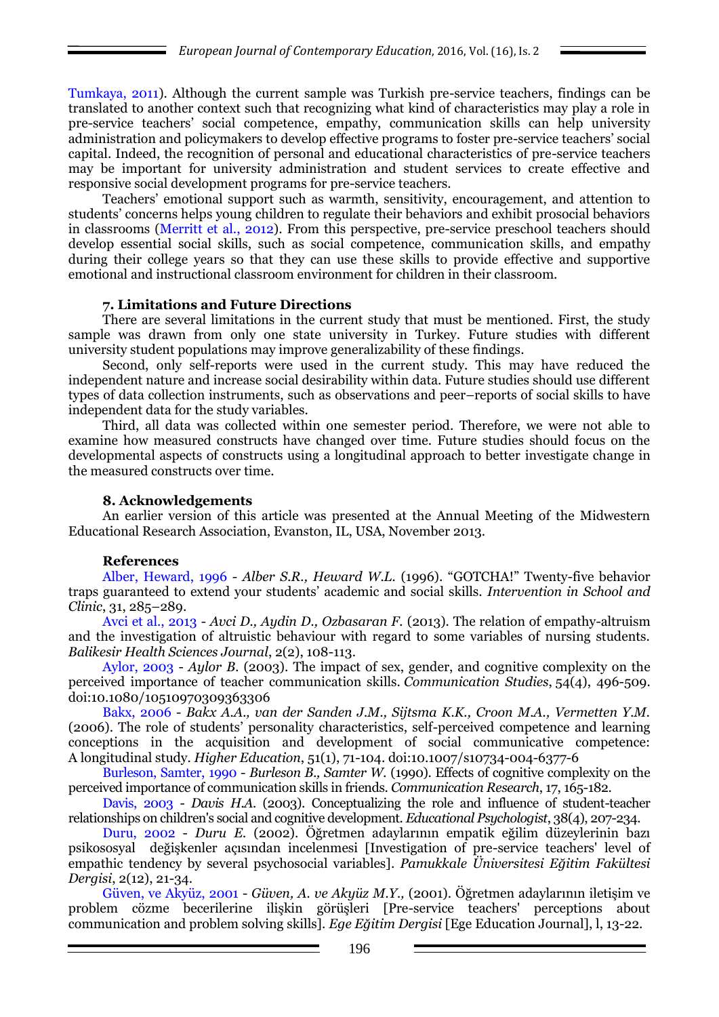Tumkaya, 2011). Although the current sample was Turkish pre-service teachers, findings can be translated to another context such that recognizing what kind of characteristics may play a role in pre-service teachers' social competence, empathy, communication skills can help university administration and policymakers to develop effective programs to foster pre-service teachers' social capital. Indeed, the recognition of personal and educational characteristics of pre-service teachers may be important for university administration and student services to create effective and responsive social development programs for pre-service teachers.

Teachers' emotional support such as warmth, sensitivity, encouragement, and attention to students' concerns helps young children to regulate their behaviors and exhibit prosocial behaviors in classrooms (Merritt et al., 2012). From this perspective, pre-service preschool teachers should develop essential social skills, such as social competence, communication skills, and empathy during their college years so that they can use these skills to provide effective and supportive emotional and instructional classroom environment for children in their classroom.

### **7. Limitations and Future Directions**

There are several limitations in the current study that must be mentioned. First, the study sample was drawn from only one state university in Turkey. Future studies with different university student populations may improve generalizability of these findings.

Second, only self-reports were used in the current study. This may have reduced the independent nature and increase social desirability within data. Future studies should use different types of data collection instruments, such as observations and peer–reports of social skills to have independent data for the study variables.

Third, all data was collected within one semester period. Therefore, we were not able to examine how measured constructs have changed over time. Future studies should focus on the developmental aspects of constructs using a longitudinal approach to better investigate change in the measured constructs over time.

## **8. Acknowledgements**

An earlier version of this article was presented at the Annual Meeting of the Midwestern Educational Research Association, Evanston, IL, USA, November 2013.

## **References**

Alber, Heward, 1996 - *Alber S.R., Heward W.L.* (1996). "GOTCHA!" Twenty-five behavior traps guaranteed to extend your students' academic and social skills. *Intervention in School and Clinic*, 31, 285–289.

Avci et al., 2013 - *Avci D., Aydin D., Ozbasaran F.* (2013). The relation of empathy-altruism and the investigation of altruistic behaviour with regard to some variables of nursing students. *Balikesir Health Sciences Journal*, 2(2), 108-113.

Aylor, 2003 - *Aylor B.* (2003). The impact of sex, gender, and cognitive complexity on the perceived importance of teacher communication skills. *Communication Studies*, 54(4), 496-509. doi:10.1080/10510970309363306

Bakx, 2006 - *Bakx A.A., van der Sanden J.M., Sijtsma K.K., Croon M.A., Vermetten Y.M.*  (2006). The role of students' personality characteristics, self-perceived competence and learning conceptions in the acquisition and development of social communicative competence: A longitudinal study. *Higher Education*, 51(1), 71-104. doi:10.1007/s10734-004-6377-6

Burleson, Samter, 1990 - *Burleson B., Samter W.* (1990). Effects of cognitive complexity on the perceived importance of communication skills in friends. *Communication Research*, 17, 165-182.

Davis, 2003 - *Davis H.A.* (2003). Conceptualizing the role and influence of student-teacher relationships on children's social and cognitive development. *Educational Psychologist*, 38(4), 207-234.

Duru, 2002 - *Duru E.* (2002). Öğretmen adaylarının empatik eğilim düzeylerinin bazı psikososyal değişkenler açısından incelenmesi [Investigation of pre-service teachers' level of empathic tendency by several psychosocial variables]. *Pamukkale Üniversitesi Eğitim Fakültesi Dergisi*, 2(12), 21-34.

Güven, ve Akyüz, 2001 - *Güven, A. ve Akyüz M.Y.,* (2001). Öğretmen adaylarının iletişim ve problem cözme becerilerine ilişkin görüşleri [Pre-service teachers' perceptions about communication and problem solving skills]. *Ege Eğitim Dergisi* [Ege Education Journal], l, 13-22.